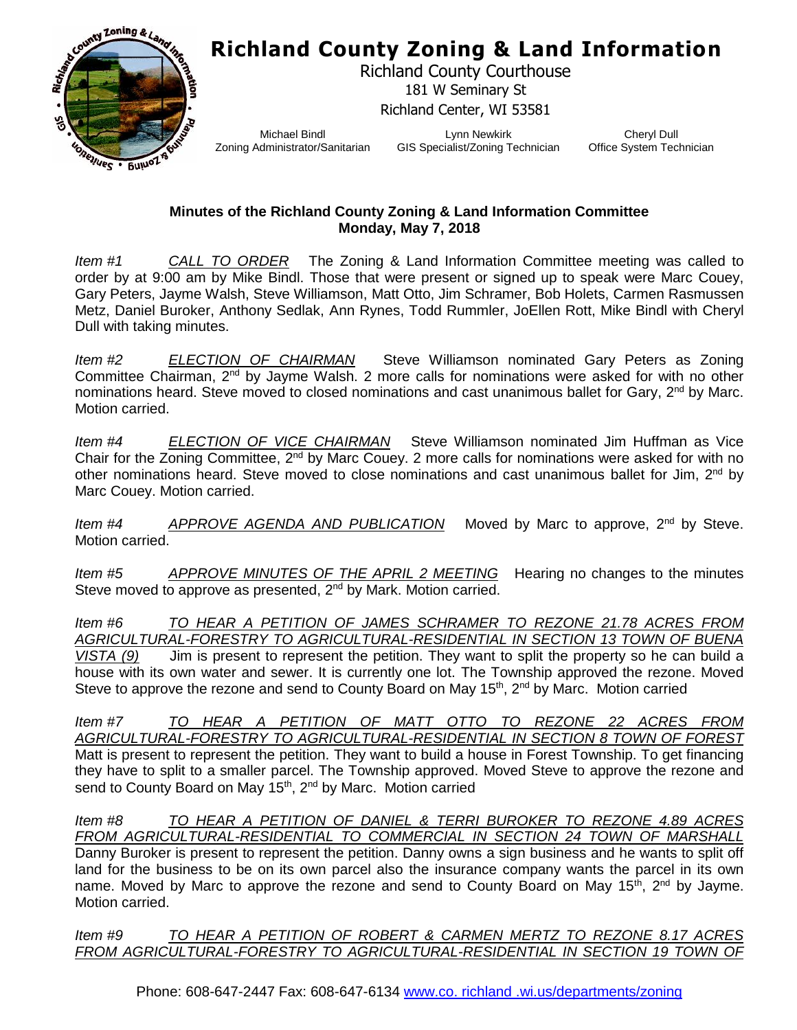## **Richland County Zoning & Land Information**



Richland County Courthouse 181 W Seminary St Richland Center, WI 53581

Michael Bindl Zoning Administrator/Sanitarian

Lynn Newkirk GIS Specialist/Zoning Technician

Cheryl Dull Office System Technician

## **Minutes of the Richland County Zoning & Land Information Committee Monday, May 7, 2018**

*Item #1 CALL TO ORDER* The Zoning & Land Information Committee meeting was called to order by at 9:00 am by Mike Bindl. Those that were present or signed up to speak were Marc Couey, Gary Peters, Jayme Walsh, Steve Williamson, Matt Otto, Jim Schramer, Bob Holets, Carmen Rasmussen Metz, Daniel Buroker, Anthony Sedlak, Ann Rynes, Todd Rummler, JoEllen Rott, Mike Bindl with Cheryl Dull with taking minutes.

*Item #2 ELECTION OF CHAIRMAN* Steve Williamson nominated Gary Peters as Zoning Committee Chairman, 2<sup>nd</sup> by Jayme Walsh. 2 more calls for nominations were asked for with no other nominations heard. Steve moved to closed nominations and cast unanimous ballet for Gary, 2<sup>nd</sup> by Marc. Motion carried.

*Item #4 ELECTION OF VICE CHAIRMAN* Steve Williamson nominated Jim Huffman as Vice Chair for the Zoning Committee, 2<sup>nd</sup> by Marc Couey. 2 more calls for nominations were asked for with no other nominations heard. Steve moved to close nominations and cast unanimous ballet for Jim,  $2^{nd}$  by Marc Couey. Motion carried.

*Item #4 APPROVE AGENDA AND PUBLICATION* Moved by Marc to approve, 2nd by Steve. Motion carried.

*Item #5 APPROVE MINUTES OF THE APRIL 2 MEETING* Hearing no changes to the minutes Steve moved to approve as presented, 2<sup>nd</sup> by Mark. Motion carried.

*Item #6 TO HEAR A PETITION OF JAMES SCHRAMER TO REZONE 21.78 ACRES FROM AGRICULTURAL-FORESTRY TO AGRICULTURAL-RESIDENTIAL IN SECTION 13 TOWN OF BUENA VISTA (9)* Jim is present to represent the petition. They want to split the property so he can build a house with its own water and sewer. It is currently one lot. The Township approved the rezone. Moved Steve to approve the rezone and send to County Board on May 15<sup>th</sup>, 2<sup>nd</sup> by Marc. Motion carried

*Item #7 TO HEAR A PETITION OF MATT OTTO TO REZONE 22 ACRES FROM AGRICULTURAL-FORESTRY TO AGRICULTURAL-RESIDENTIAL IN SECTION 8 TOWN OF FOREST* Matt is present to represent the petition. They want to build a house in Forest Township. To get financing they have to split to a smaller parcel. The Township approved. Moved Steve to approve the rezone and send to County Board on May 15<sup>th</sup>, 2<sup>nd</sup> by Marc. Motion carried

*Item #8 TO HEAR A PETITION OF DANIEL & TERRI BUROKER TO REZONE 4.89 ACRES FROM AGRICULTURAL-RESIDENTIAL TO COMMERCIAL IN SECTION 24 TOWN OF MARSHALL* Danny Buroker is present to represent the petition. Danny owns a sign business and he wants to split off land for the business to be on its own parcel also the insurance company wants the parcel in its own name. Moved by Marc to approve the rezone and send to County Board on May  $15<sup>th</sup>$ ,  $2<sup>nd</sup>$  by Jayme. Motion carried.

*Item #9 TO HEAR A PETITION OF ROBERT & CARMEN MERTZ TO REZONE 8.17 ACRES*  **FROM AGRICULTURAL-FORESTRY TO AGRICULTURAL-RESIDENTIAL IN SECTION 19 TOWN OF**